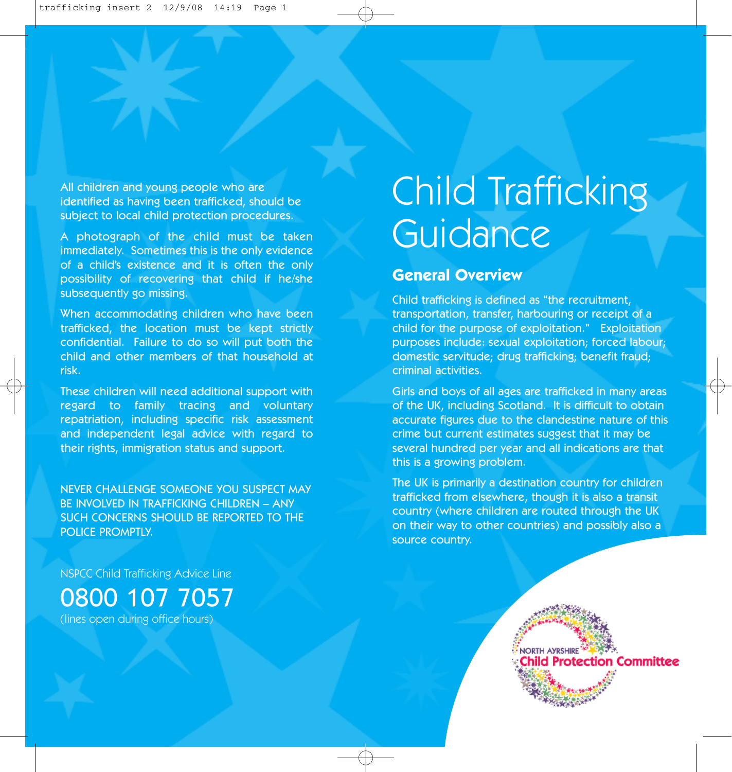All children and young people who are identified as having been trafficked, should be subject to local child protection procedures.

A photograph of the child must be taken immediately. Sometimes this is the only evidence of a child's existence and it is often the only possibility of recovering that child if he/she subsequently go missing.

When accommodating children who have been trafficked, the location must be kept strictly confidential. Failure to do so will put both the child and other members of that household at risk.

These children will need additional support with regard to family tracing and voluntary repatriation, including specific risk assessment and independent legal advice with regard to their rights, immigration status and support.

NEVER CHALLENGE SOMEONE YOU SUSPECT MAY BE INVOLVED IN TRAFFICKING CHILDREN – ANY SUCH CONCERNS SHOULD BE REPORTED TO THE POLICE PROMPTLY.

NSPCC Child Trafficking Advice Line

0800 107 7057 (lines open during office hours)

# Child Trafficking **Guidance**

## **General Overview**

Child trafficking is defined as "the recruitment, transportation, transfer, harbouring or receipt of a child for the purpose of exploitation." Exploitation purposes include: sexual exploitation; forced labour; domestic servitude; drug trafficking; benefit fraud; criminal activities.

Girls and boys of all ages are trafficked in many areas of the UK, including Scotland. It is difficult to obtain accurate figures due to the clandestine nature of this crime but current estimates suggest that it may be several hundred per year and all indications are that this is a growing problem.

The UK is primarily a destination country for children trafficked from elsewhere, though it is also a transit country (where children are routed through the UK on their way to other countries) and possibly also a source country.

> NORTH AYRSHIRE hild Protection Committee